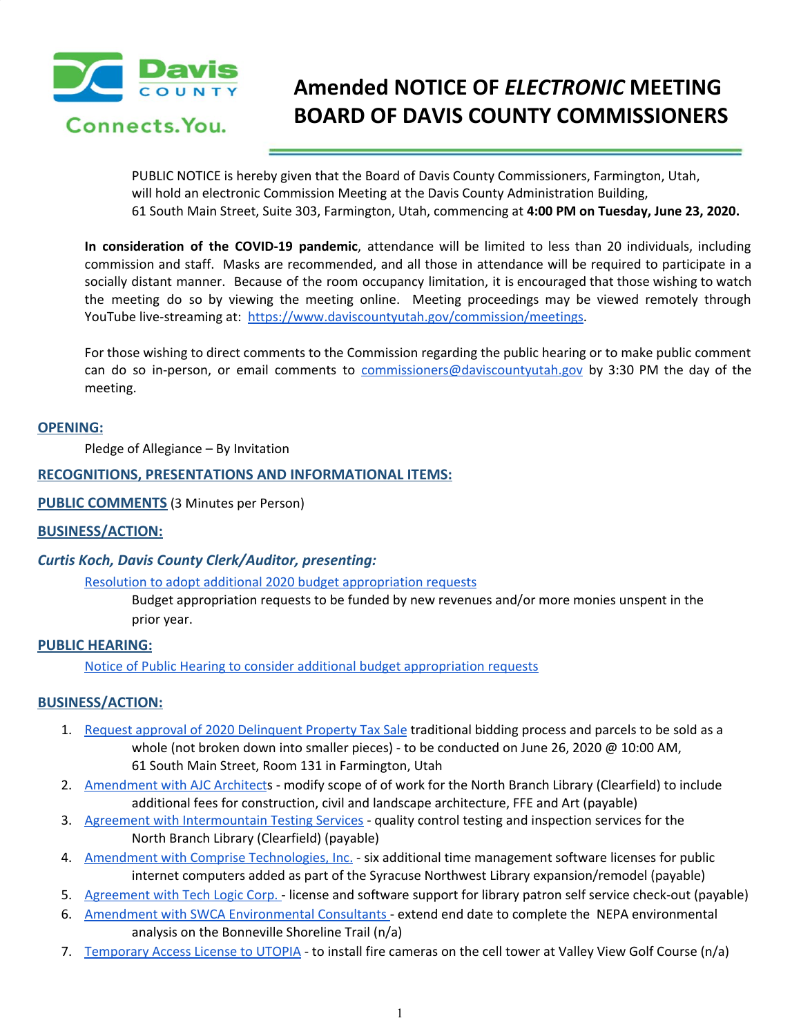

# **Amended NOTICE OF** *ELECTRONIC* **MEETING BOARD OF DAVIS COUNTY COMMISSIONERS**

PUBLIC NOTICE is hereby given that the Board of Davis County Commissioners, Farmington, Utah, will hold an electronic Commission Meeting at the Davis County Administration Building, 61 South Main Street, Suite 303, Farmington, Utah, commencing at **4:00 PM on Tuesday, June 23, 2020.**

**In consideration of the COVID-19 pandemic**, attendance will be limited to less than 20 individuals, including commission and staff. Masks are recommended, and all those in attendance will be required to participate in a socially distant manner. Because of the room occupancy limitation, it is encouraged that those wishing to watch the meeting do so by viewing the meeting online. Meeting proceedings may be viewed remotely through YouTube live-streaming at: <https://www.daviscountyutah.gov/commission/meetings>.

For those wishing to direct comments to the Commission regarding the public hearing or to make public comment can do so in-person, or email comments to [commissioners@daviscountyutah.gov](mailto:commissioners@daviscountyutah.gov) by 3:30 PM the day of the meeting.

#### **OPENING:**

Pledge of Allegiance – By Invitation

## **RECOGNITIONS, PRESENTATIONS AND INFORMATIONAL ITEMS:**

**PUBLIC COMMENTS** (3 Minutes per Person)

## **BUSINESS/ACTION:**

#### *Curtis Koch, Davis County Clerk/Auditor, presenting:*

#### Resolution to adopt additional 2020 budget [appropriation](https://drive.google.com/file/d/1JT_1rWFdmvfOKbGHAZdebWHfVfJcsRZc/view?usp=drivesdk) requests

Budget appropriation requests to be funded by new revenues and/or more monies unspent in the prior year.

#### **PUBLIC HEARING:**

Notice of Public Hearing to consider additional budget [appropriation](https://drive.google.com/file/d/1QuxvNZ8FQ4ECCzxanJZWQpjWRw7oUeCc/view?usp=drivesdk) requests

## **BUSINESS/ACTION:**

- 1. Request approval of 2020 [Delinquent](https://drive.google.com/file/d/1A403GLDrJiDtHerkYH1BUAkdsqeUpyp_/view?usp=drivesdk) Property Tax Sale traditional bidding process and parcels to be sold as a whole (not broken down into smaller pieces) - to be conducted on June 26, 2020 @ 10:00 AM, 61 South Main Street, Room 131 in Farmington, Utah
- 2. [Amendment](https://drive.google.com/file/d/1GdX3pUrpxHxqrspqvV3umLfK2oUzpJBL/view?usp=drivesdk) with AJC Architects modify scope of of work for the North Branch Library (Clearfield) to include additional fees for construction, civil and landscape architecture, FFE and Art (payable)
- 3. Agreement with [Intermountain](https://drive.google.com/file/d/1FT4ertEJ6PeJWSeugWtqRAvcBshItn44/view?usp=drivesdk) Testing Services quality control testing and inspection services for the North Branch Library (Clearfield) (payable)
- 4. Amendment with Comprise [Technologies,](https://drive.google.com/file/d/1Uk1oFzAjW1hOhoTrunhrh4MlmyEHVQ7t/view?usp=drivesdk) Inc. six additional time management software licenses for public internet computers added as part of the Syracuse Northwest Library expansion/remodel (payable)
- 5. [Agreement](https://drive.google.com/file/d/14dwgm2WphjCu3H6VQeJoYqaD5lNM6Qgf/view?usp=drivesdk) with Tech Logic Corp. license and software support for library patron self service check-out (payable)
- 6. Amendment with SWCA [Environmental](https://drive.google.com/file/d/1H1_6b-73wv0-mmTeaBKcqg8ym9L7ZTkD/view?usp=drivesdk) Consultants extend end date to complete the NEPA environmental analysis on the Bonneville Shoreline Trail (n/a)
- 7. [Temporary](https://drive.google.com/file/d/19PlZwRkR8GrFof6SKQqP5OM6UuJICbzL/view?usp=drivesdk) Access License to UTOPIA to install fire cameras on the cell tower at Valley View Golf Course (n/a)